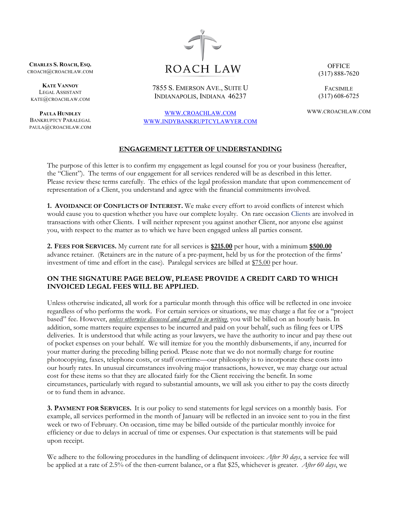**CHARLES S. ROACH, ESQ.** CROACH@CROACHLAW.COM

**KATE VANNOY** LEGAL ASSISTANT KATE@CROACHLAW.COM

**PAULA HUNDLEY** BANKRUPTCY PARALEGAL PAULA@CROACHLAW.COM



7855 S. EMERSON AVE., SUITE U INDIANAPOLIS, INDIANA 46237

[WWW.CROACHLAW.COM](http://www.croachlaw.com/) [WWW.INDYBANKRUPTCYLAWYER.COM](http://www.indybankruptcylawyer.com/)

## **ENGAGEMENT LETTER OF UNDERSTANDING**

The purpose of this letter is to confirm my engagement as legal counsel for you or your business (hereafter, the "Client"). The terms of our engagement for all services rendered will be as described in this letter. Please review these terms carefully. The ethics of the legal profession mandate that upon commencement of representation of a Client, you understand and agree with the financial commitments involved.

**1. AVOIDANCE OF CONFLICTS OF INTEREST.** We make every effort to avoid conflicts of interest which would cause you to question whether you have our complete loyalty. On rare occasion Clients are involved in transactions with other Clients. I will neither represent you against another Client, nor anyone else against you, with respect to the matter as to which we have been engaged unless all parties consent.

**2. FEES FOR SERVICES.** My current rate for all services is **\$215.00** per hour, with a minimum **\$500.00** advance retainer. (Retainers are in the nature of a pre-payment, held by us for the protection of the firms' investment of time and effort in the case). Paralegal services are billed at \$75.00 per hour.

## **ON THE SIGNATURE PAGE BELOW, PLEASE PROVIDE A CREDIT CARD TO WHICH INVOICED LEGAL FEES WILL BE APPLIED.**

Unless otherwise indicated, all work for a particular month through this office will be reflected in one invoice regardless of who performs the work. For certain services or situations, we may charge a flat fee or a "project based" fee. However, *unless otherwise discussed and agreed to in writing*, you will be billed on an hourly basis. In addition, some matters require expenses to be incurred and paid on your behalf, such as filing fees or UPS deliveries. It is understood that while acting as your lawyers, we have the authority to incur and pay these out of pocket expenses on your behalf. We will itemize for you the monthly disbursements, if any, incurred for your matter during the preceding billing period. Please note that we do not normally charge for routine photocopying, faxes, telephone costs, or staff overtime—our philosophy is to incorporate these costs into our hourly rates. In unusual circumstances involving major transactions, however, we may charge our actual cost for these items so that they are allocated fairly for the Client receiving the benefit. In some circumstances, particularly with regard to substantial amounts, we will ask you either to pay the costs directly or to fund them in advance.

**3. PAYMENT FOR SERVICES.** It is our policy to send statements for legal services on a monthly basis. For example, all services performed in the month of January will be reflected in an invoice sent to you in the first week or two of February. On occasion, time may be billed outside of the particular monthly invoice for efficiency or due to delays in accrual of time or expenses. Our expectation is that statements will be paid upon receipt.

We adhere to the following procedures in the handling of delinquent invoices: *After 30 days*, a service fee will be applied at a rate of 2.5% of the then-current balance, or a flat \$25, whichever is greater. *After 60 days*, we

**OFFICE** (317) 888-7620

FACSIMILE (317) 608-6725

WWW.CROACHLAW.COM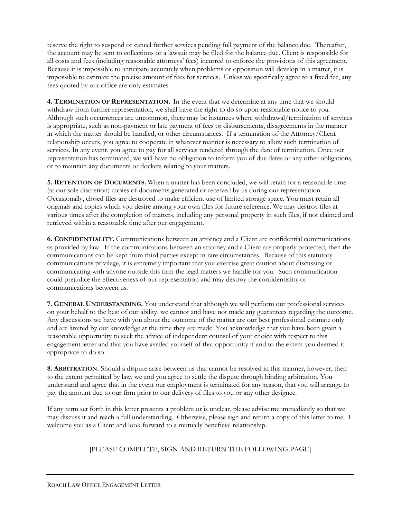reserve the right to suspend or cancel further services pending full payment of the balance due. Thereafter, the account may be sent to collections or a lawsuit may be filed for the balance due. Client is responsible for all costs and fees (including reasonable attorneys' fees) incurred to enforce the provisions of this agreement. Because it is impossible to anticipate accurately when problems or opposition will develop in a matter, it is impossible to estimate the precise amount of fees for services. Unless we specifically agree to a fixed fee, any fees quoted by our office are only estimates.

**4. TERMINATION OF REPRESENTATION.** In the event that we determine at any time that we should withdraw from further representation, we shall have the right to do so upon reasonable notice to you. Although such occurrences are uncommon, there may be instances where withdrawal/termination of services is appropriate, such as non-payment or late payment of fees or disbursements, disagreements in the manner in which the matter should be handled, or other circumstances. If a termination of the Attorney/Client relationship occurs, you agree to cooperate in whatever manner is necessary to allow such termination of services. In any event, you agree to pay for all services rendered through the date of termination. Once our representation has terminated, we will have no obligation to inform you of due dates or any other obligations, or to maintain any documents or dockets relating to your matters.

**5. RETENTION OF DOCUMENTS.** When a matter has been concluded, we will retain for a reasonable time (at our sole discretion) copies of documents generated or received by us during our representation. Occasionally, closed files are destroyed to make efficient use of limited storage space. You must retain all originals and copies which you desire among your own files for future reference. We may destroy files at various times after the completion of matters, including any personal property in such files, if not claimed and retrieved within a reasonable time after our engagement.

**6. CONFIDENTIALITY.** Communications between an attorney and a Client are confidential communications as provided by law. If the communications between an attorney and a Client are properly protected, then the communications can be kept from third parties except in rare circumstances. Because of this statutory communications privilege, it is extremely important that you exercise great caution about discussing or communicating with anyone outside this firm the legal matters we handle for you. Such communication could prejudice the effectiveness of our representation and may destroy the confidentiality of communications between us.

**7. GENERAL UNDERSTANDING.** You understand that although we will perform our professional services on your behalf to the best of our ability, we cannot and have not made any guarantees regarding the outcome. Any discussions we have with you about the outcome of the matter are our best professional estimate only and are limited by our knowledge at the time they are made. You acknowledge that you have been given a reasonable opportunity to seek the advice of independent counsel of your choice with respect to this engagement letter and that you have availed yourself of that opportunity if and to the extent you deemed it appropriate to do so.

**8. ARBITRATION.** Should a dispute arise between us that cannot be resolved in this manner, however, then to the extent permitted by law, we and you agree to settle the dispute through binding arbitration. You understand and agree that in the event our employment is terminated for any reason, that you will arrange to pay the amount due to our firm prior to our delivery of files to you or any other designee.

If any term set forth in this letter presents a problem or is unclear, please advise me immediately so that we may discuss it and reach a full understanding. Otherwise, please sign and return a copy of this letter to me. I welcome you as a Client and look forward to a mutually beneficial relationship.

## [PLEASE COMPLETE, SIGN AND RETURN THE FOLLOWING PAGE]